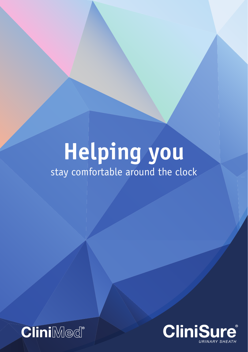# **Helping you** stay comfortable around the clock



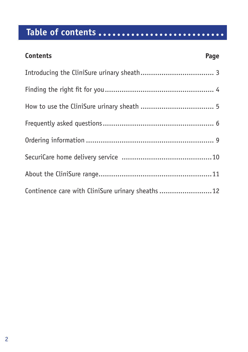# **Table of contents**

| <b>Contents</b>                                    | Page |
|----------------------------------------------------|------|
|                                                    |      |
|                                                    |      |
|                                                    |      |
|                                                    |      |
|                                                    |      |
|                                                    |      |
|                                                    |      |
| Continence care with CliniSure urinary sheaths  12 |      |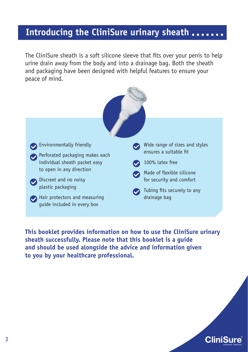## <span id="page-2-0"></span>**Introducing the CliniSure urinary sheath**

The CliniSure sheath is a soft silicone sleeve that fits over your penis to help urine drain away from the body and into a drainage bag. Both the sheath and packaging have been designed with helpful features to ensure your peace of mind.



**This booklet provides information on how to use the CliniSure urinary sheath successfully. Please note that this booklet is a guide and should be used alongside the advice and information given to you by your healthcare professional.**

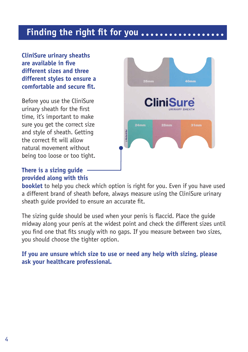### <span id="page-3-0"></span>**Finding the right fit for you**

**CliniSure urinary sheaths are available in five different sizes and three different styles to ensure a comfortable and secure fit.**

Before you use the CliniSure urinary sheath for the first time, it's important to make sure you get the correct size and style of sheath. Getting the correct fit will allow natural movement without being too loose or too tight.

### **There is a sizing guide provided along with this**



**booklet** to help you check which option is right for you. Even if you have used a different brand of sheath before, always measure using the CliniSure urinary sheath guide provided to ensure an accurate fit.

The sizing guide should be used when your penis is flaccid. Place the guide midway along your penis at the widest point and check the different sizes until you find one that fits snugly with no gaps. If you measure between two sizes, you should choose the tighter option.

**If you are unsure which size to use or need any help with sizing, please ask your healthcare professional.**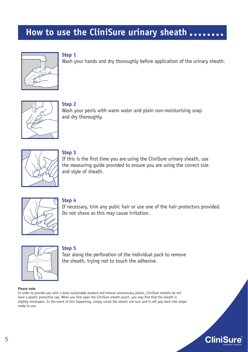# <span id="page-4-0"></span>**How to use the CliniSure urinary sheath**



#### **Step 1**

Wash your hands and dry thoroughly before application of the urinary sheath.



**Step 2** 

Wash your penis with warm water and plain non-moisturising soap and dry thoroughly.



#### **Step 3**

If this is the first time you are using the CliniSure urinary sheath, use the measuring guide provided to ensure you are using the correct size and style of sheath.



#### **Step 4**

If necessary, trim any pubic hair or use one of the hair protectors provided. Do not shave as this may cause irritation.



#### **Step 5**

Tear along the perforation of the individual pack to remove the sheath, trying not to touch the adhesive.

#### **Please note**

In order to provide you with a more sustainable product and remove unnecessary plastic, CliniSure sheaths do not have a plastic protective cap. When you first open the CliniSure sheath pouch, you may find that the sheath is slightly misshapen. In the event of this happening, simply unroll the sheath one turn and it will pop back into shape ready to use.

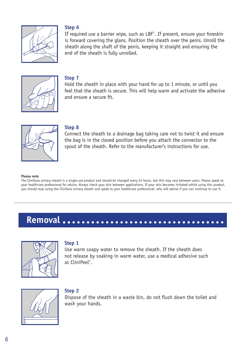

#### **Step 6**

If required use a barrier wipe, such as LBF® . If present, ensure your foreskin is forward covering the glans. Position the sheath over the penis. Unroll the sheath along the shaft of the penis, keeping it straight and ensuring the end of the sheath is fully unrolled.



#### **Step 7**

Hold the sheath in place with your hand for up to 1 minute, or until you feel that the sheath is secure. This will help warm and activate the adhesive and ensure a secure fit.



#### **Step 8**

Connect the sheath to a drainage bag taking care not to twist it and ensure the bag is in the closed position before you attach the connector to the spout of the sheath. Refer to the manufacturer's instructions for use.

#### **Please note**

The CliniSure urinary sheath is a single-use product and should be changed every 24 hours, but this may vary between users. Please speak to your healthcare professional for advice. Always check your skin between applications. If your skin becomes irritated whilst using this product, you should stop using the CliniSure urinary sheath and speak to your healthcare professional, who will advise if you can continue to use it.

# **Removal**



#### **Step 1**

Use warm soapy water to remove the sheath. If the sheath does not release by soaking in warm water, use a medical adhesive such as CliniPeel® .



#### **Step 2**

Dispose of the sheath in a waste bin, do not flush down the toilet and wash your hands.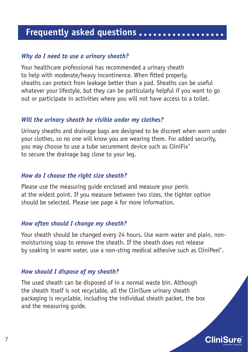# <span id="page-6-0"></span>**Frequently asked questions**

### *Why do I need to use a urinary sheath?*

Your healthcare professional has recommended a urinary sheath to help with moderate/heavy incontinence. When fitted properly, sheaths can protect from leakage better than a pad. Sheaths can be useful whatever your lifestyle, but they can be particularly helpful if you want to go out or participate in activities where you will not have access to a toilet.

### *Will the urinary sheath be visible under my clothes?*

Urinary sheaths and drainage bags are designed to be discreet when worn under your clothes, so no one will know you are wearing them. For added security, you may choose to use a tube securement device such as CliniFix® to secure the drainage bag close to your leg.

### *How do I choose the right size sheath?*

Please use the measuring guide enclosed and measure your penis at the widest point. If you measure between two sizes, the tighter option should be selected. Please see page 4 for more information.

### *How often should I change my sheath?*

Your sheath should be changed every 24 hours. Use warm water and plain, nonmoisturising soap to remove the sheath. If the sheath does not release by soaking in warm water, use a non-sting medical adhesive such as CliniPeel®.

### *How should I dispose of my sheath?*

The used sheath can be disposed of in a normal waste bin. Although the sheath itself is not recyclable, all the CliniSure urinary sheath packaging is recyclable, including the individual sheath packet, the box and the measuring guide.

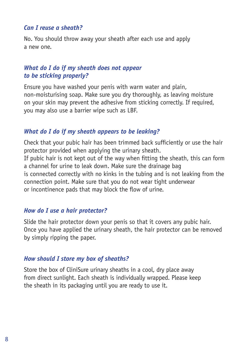### *Can I reuse a sheath?*

No. You should throw away your sheath after each use and apply a new one.

### *What do I do if my sheath does not appear to be sticking properly?*

Ensure you have washed your penis with warm water and plain, non-moisturising soap. Make sure you dry thoroughly, as leaving moisture on your skin may prevent the adhesive from sticking correctly. If required, you may also use a barrier wipe such as LBF.

### *What do I do if my sheath appears to be leaking?*

Check that your pubic hair has been trimmed back sufficiently or use the hair protector provided when applying the urinary sheath.

If pubic hair is not kept out of the way when fitting the sheath, this can form a channel for urine to leak down. Make sure the drainage bag is connected correctly with no kinks in the tubing and is not leaking from the connection point. Make sure that you do not wear tight underwear or incontinence pads that may block the flow of urine.

#### *How do I use a hair protector?*

Slide the hair protector down your penis so that it covers any pubic hair. Once you have applied the urinary sheath, the hair protector can be removed by simply ripping the paper.

### *How should I store my box of sheaths?*

Store the box of CliniSure urinary sheaths in a cool, dry place away from direct sunlight. Each sheath is individually wrapped. Please keep the sheath in its packaging until you are ready to use it.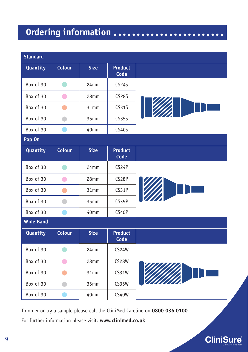# <span id="page-8-0"></span>**Ordering information**

| <b>Standard</b>  |                |                  |                        |  |  |
|------------------|----------------|------------------|------------------------|--|--|
| <b>Quantity</b>  | <b>Colour</b>  | <b>Size</b>      | <b>Product</b><br>Code |  |  |
| Box of 30        | $\blacksquare$ | 24mm             | <b>CS24S</b>           |  |  |
| Box of 30        | $\bullet$      | 28 <sub>mm</sub> | <b>CS28S</b>           |  |  |
| Box of 30        | œ              | 31mm             | <b>CS31S</b>           |  |  |
| Box of 30        |                | 35 <sub>mm</sub> | <b>CS35S</b>           |  |  |
| Box of 30        |                | 40mm             | CS40S                  |  |  |
| Pop On           |                |                  |                        |  |  |
| <b>Quantity</b>  | <b>Colour</b>  | <b>Size</b>      | <b>Product</b><br>Code |  |  |
| Box of 30        |                | 24mm             | CS24P                  |  |  |
| Box of 30        | $\bullet$      | 28mm             | CS28P                  |  |  |
| Box of 30        | m.             | 31mm             | CS31P                  |  |  |
| Box of 30        | $\blacksquare$ | 35 <sub>mm</sub> | CS35P                  |  |  |
| Box of 30        |                | 40mm             | CS40P                  |  |  |
| <b>Wide Band</b> |                |                  |                        |  |  |
| <b>Quantity</b>  | <b>Colour</b>  | <b>Size</b>      | <b>Product</b><br>Code |  |  |
| Box of 30        |                | 24mm             | <b>CS24W</b>           |  |  |
| Box of 30        | $\bullet$      | 28mm             | <b>CS28W</b>           |  |  |
| Box of 30        |                | 31mm             | <b>CS31W</b>           |  |  |
| Box of 30        | m.             | 35mm             | <b>CS35W</b>           |  |  |
| Box of 30        |                | 40mm             | <b>CS40W</b>           |  |  |

To order or try a sample please call the CliniMed Careline on **0800 036 0100** For further information please visit: **www.clinimed.co.uk**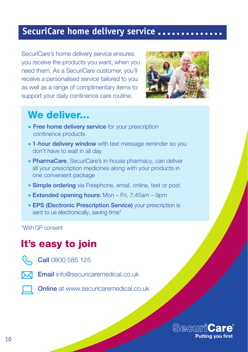### <span id="page-9-0"></span>**SecuriCare home delivery service**

SecuriCare's home delivery service ensures you receive the products you want, when you need them. As a SecuriCare customer, you'll receive a personalised service tailored to you as well as a range of complimentary items to support your daily continence care routine.



# We deliver...

- Free home delivery service for your prescription continence products
- 1-hour delivery window with text message reminder so you don't have to wait in all day
- PharmaCare, SecuriCare's in-house pharmacy, can deliver all your prescription medicines along with your products in one convenient package
- Simple ordering via Freephone, email, online, text or post
- Extended opening hours: Mon Fri, 7:45am 9pm
- EPS (Electronic Prescription Service) your prescription is sent to us electronically, saving time\*

\*With GP consent

# It's easy to join



Call 0800 585 125



**Email** info@securicaremedical.co.uk

**Online** at www.securicaremedical.co.uk

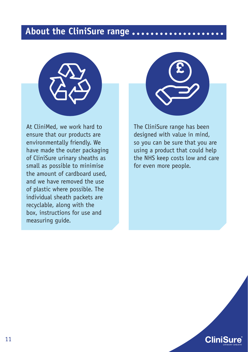### <span id="page-10-0"></span>**About the CliniSure range**



At CliniMed, we work hard to ensure that our products are environmentally friendly. We have made the outer packaging of CliniSure urinary sheaths as small as possible to minimise the amount of cardboard used, and we have removed the use of plastic where possible. The individual sheath packets are recyclable, along with the box, instructions for use and measuring guide.



The CliniSure range has been designed with value in mind, so you can be sure that you are using a product that could help the NHS keep costs low and care for even more people.